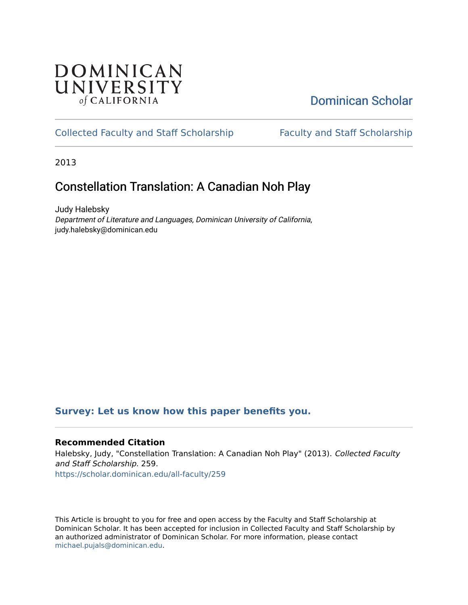## DOMINICAN UNIVERSITY of CALIFORNIA

# [Dominican Scholar](https://scholar.dominican.edu/)

## [Collected Faculty and Staff Scholarship](https://scholar.dominican.edu/all-faculty) [Faculty and Staff Scholarship](https://scholar.dominican.edu/faculty-scholarship)

2013

# Constellation Translation: A Canadian Noh Play

Judy Halebsky Department of Literature and Languages, Dominican University of California, judy.halebsky@dominican.edu

### **[Survey: Let us know how this paper benefits you.](https://dominican.libwizard.com/dominican-scholar-feedback)**

### **Recommended Citation**

Halebsky, Judy, "Constellation Translation: A Canadian Noh Play" (2013). Collected Faculty and Staff Scholarship. 259. [https://scholar.dominican.edu/all-faculty/259](https://scholar.dominican.edu/all-faculty/259?utm_source=scholar.dominican.edu%2Fall-faculty%2F259&utm_medium=PDF&utm_campaign=PDFCoverPages) 

This Article is brought to you for free and open access by the Faculty and Staff Scholarship at Dominican Scholar. It has been accepted for inclusion in Collected Faculty and Staff Scholarship by an authorized administrator of Dominican Scholar. For more information, please contact [michael.pujals@dominican.edu.](mailto:michael.pujals@dominican.edu)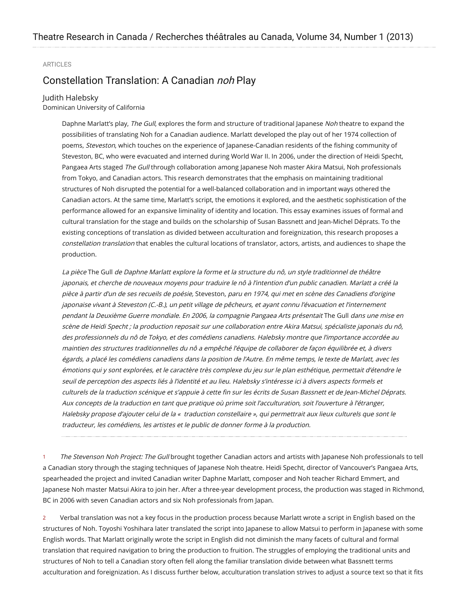#### ARTICLES

### Constellation Translation: A Canadian noh Play

#### Judith Halebsky

Dominican University of California

Daphne Marlatt's play, The Gull, explores the form and structure of traditional Japanese Noh theatre to expand the possibilities of translating Noh for a Canadian audience. Marlatt developed the play out of her 1974 collection of poems, Steveston, which touches on the experience of Japanese-Canadian residents of the fishing community of Steveston, BC, who were evacuated and interned during World War II. In 2006, under the direction of Heidi Specht, Pangaea Arts staged The Gull through collaboration among Japanese Noh master Akira Matsui, Noh professionals from Tokyo, and Canadian actors. This research demonstrates that the emphasis on maintaining traditional structures of Noh disrupted the potential for a well-balanced collaboration and in important ways othered the Canadian actors. At the same time, Marlatt's script, the emotions it explored, and the aesthetic sophistication of the performance allowed for an expansive liminality of identity and location. This essay examines issues of formal and cultural translation for the stage and builds on the scholarship of Susan Bassnett and Jean-Michel Déprats. To the existing conceptions of translation as divided between acculturation and foreignization, this research proposes a constellation translation that enables the cultural locations of translator, actors, artists, and audiences to shape the production.

La pièce The Gull de Daphne Marlatt explore la forme et la structure du nô, un style traditionnel de théâtre japonais, et cherche de nouveaux moyens pour traduire le nô à l'intention d'un public canadien. Marlatt <sup>a</sup> créé la pièce à partir d'un de ses recueils de poésie, Steveston, paru en 1974, qui met en scène des Canadiens d'origine japonaise vivant à Steveston (C.-B.), un petit village de pêcheurs, et ayant connu l'évacuation et l'internement pendant la Deuxième Guerre mondiale. En 2006, la compagnie Pangaea Arts présentait The Gull dans une mise en scène de Heidi Specht ; la production reposait sur une collaboration entre Akira Matsui, spécialiste japonais du nô, des professionnels du nô de Tokyo, et des comédiens canadiens. Halebsky montre que l'importance accordée au maintien des structures traditionnelles du nô <sup>a</sup> empêché l'équipe de collaborer de façon équilibrée et, à divers égards, <sup>a</sup> placé les comédiens canadiens dans la position de l'Autre. En même temps, le texte de Marlatt, avec les émotions qui y sont explorées, et le caractère très complexe du jeu sur le plan esthétique, permettait d'étendre le seuil de perception des aspects liés à l'identité et au lieu. Halebsky <sup>s</sup>'intéresse ici à divers aspects formels et culturels de la traduction scénique et <sup>s</sup>'appuie à cette ñn sur les écrits de Susan Bassnett et de Jean-Michel Déprats. Aux concepts de la traduction en tant que pratique où prime soit l'acculturation, soit l'ouverture à l'étranger, Halebsky propose d'ajouter celui de la « traduction constellaire », qui permettrait aux lieux culturels que sont le traducteur, les comédiens, les artistes et le public de donner forme à la production.

1 The Stevenson Noh Project: The Gull brought together Canadian actors and artists with Japanese Noh professionals to tell a Canadian story through the staging techniques of Japanese Noh theatre. Heidi Specht, director of Vancouver's Pangaea Arts, spearheaded the project and invited Canadian writer Daphne Marlatt, composer and Noh teacher Richard Emmert, and Japanese Noh master Matsui Akira to join her. After a three-year development process, the production was staged in Richmond, BC in 2006 with seven Canadian actors and six Noh professionals from Japan.

2 Verbal translation was not a key focus in the production process because Marlatt wrote a script in English based on the structures of Noh. Toyoshi Yoshihara later translated the script into Japanese to allow Matsui to perform in Japanese with some English words. That Marlatt originally wrote the script in English did not diminish the many facets of cultural and formal translation that required navigation to bring the production to fruition. The struggles of employing the traditional units and structures of Noh to tell a Canadian story often fell along the familiar translation divide between what Bassnett terms acculturation and foreignization. As I discuss further below, acculturation translation strives to adjust a source text so that it ñts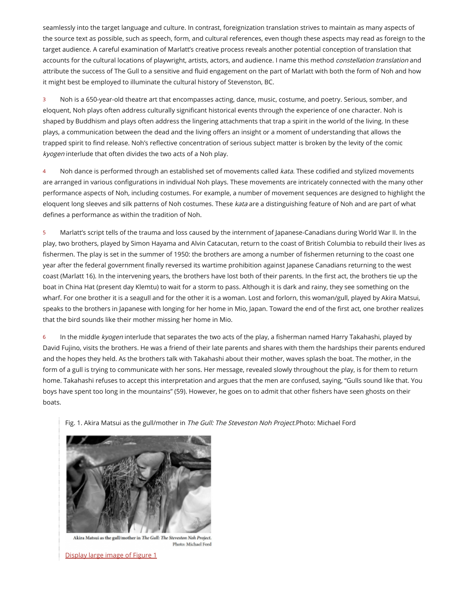seamlessly into the target language and culture. In contrast, foreignization translation strives to maintain as many aspects of the source text as possible, such as speech, form, and cultural references, even though these aspects may read as foreign to the target audience. A careful examination of Marlatt's creative process reveals another potential conception of translation that accounts for the cultural locations of playwright, artists, actors, and audience. I name this method *constellation translation* and attribute the success of The Gull to a sensitive and fluid engagement on the part of Marlatt with both the form of Noh and how it might best be employed to illuminate the cultural history of Stevenston, BC.

3 Noh is a 650-year-old theatre art that encompasses acting, dance, music, costume, and poetry. Serious, somber, and eloquent, Noh plays often address culturally signiñcant historical events through the experience of one character. Noh is shaped by Buddhism and plays often address the lingering attachments that trap a spirit in the world of the living. In these plays, a communication between the dead and the living offers an insight or a moment of understanding that allows the trapped spirit to find release. Noh's reflective concentration of serious subject matter is broken by the levity of the comic kyogen interlude that often divides the two acts of a Noh play.

4 Noh dance is performed through an established set of movements called *kata*. These codified and stylized movements are arranged in various conñgurations in individual Noh plays. These movements are intricately connected with the many other performance aspects of Noh, including costumes. For example, a number of movement sequences are designed to highlight the eloquent long sleeves and silk patterns of Noh costumes. These kata are a distinguishing feature of Noh and are part of what deñnes a performance as within the tradition of Noh.

5 Marlatt's script tells of the trauma and loss caused by the internment of Japanese-Canadians during World War II. In the play, two brothers, played by Simon Hayama and Alvin Catacutan, return to the coast of British Columbia to rebuild their lives as fishermen. The play is set in the summer of 1950: the brothers are among a number of fishermen returning to the coast one year after the federal government ñnally reversed its wartime prohibition against Japanese Canadians returning to the west coast (Marlatt 16). In the intervening years, the brothers have lost both of their parents. In the ñrst act, the brothers tie up the boat in China Hat (present day Klemtu) to wait for a storm to pass. Although it is dark and rainy, they see something on the wharf. For one brother it is a seagull and for the other it is a woman. Lost and forlorn, this woman/gull, played by Akira Matsui, speaks to the brothers in Japanese with longing for her home in Mio, Japan. Toward the end of the ñrst act, one brother realizes that the bird sounds like their mother missing her home in Mio.

6 In the middle kyogen interlude that separates the two acts of the play, a fisherman named Harry Takahashi, played by David Fujino, visits the brothers. He was a friend of their late parents and shares with them the hardships their parents endured and the hopes they held. As the brothers talk with Takahashi about their mother, waves splash the boat. The mother, in the form of a gull is trying to communicate with her sons. Her message, revealed slowly throughout the play, is for them to return home. Takahashi refuses to accept this interpretation and argues that the men are confused, saying, "Gulls sound like that. You boys have spent too long in the mountains" (59). However, he goes on to admit that other ñshers have seen ghosts on their boats.

Fig. 1. Akira Matsui as the gull/mother in The Gull: The Steveston Noh Project.Photo: Michael Ford



Akira Matsui as the gull/mother in The Gull: The Steveston Noh Project. Photo: Michael Ford

[Display](http://journals.hil.unb.ca/journalimages/TRIC/2013/Vol_34/No_01/tric34_1art03_fig1.jpg) large image of Figure 1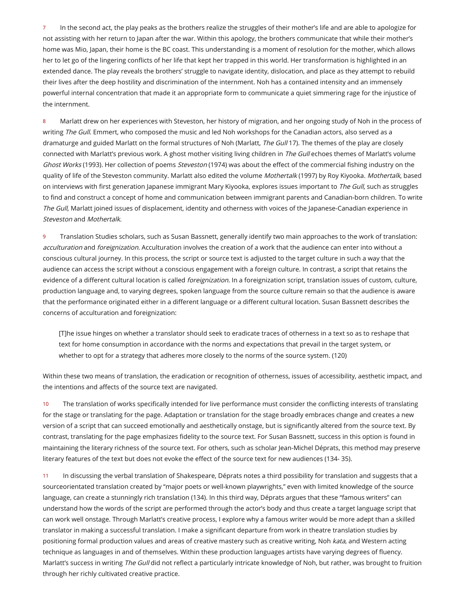7 In the second act, the play peaks as the brothers realize the struggles of their mother's life and are able to apologize for not assisting with her return to Japan after the war. Within this apology, the brothers communicate that while their mother's home was Mio, Japan, their home is the BC coast. This understanding is a moment of resolution for the mother, which allows her to let go of the lingering conflicts of her life that kept her trapped in this world. Her transformation is highlighted in an extended dance. The play reveals the brothers' struggle to navigate identity, dislocation, and place as they attempt to rebuild their lives after the deep hostility and discrimination of the internment. Noh has a contained intensity and an immensely powerful internal concentration that made it an appropriate form to communicate a quiet simmering rage for the injustice of the internment.

8 Marlatt drew on her experiences with Steveston, her history of migration, and her ongoing study of Noh in the process of writing The Gull. Emmert, who composed the music and led Noh workshops for the Canadian actors, also served as a dramaturge and guided Marlatt on the formal structures of Noh (Marlatt, The Gull 17). The themes of the play are closely connected with Marlatt's previous work. A ghost mother visiting living children in The Gull echoes themes of Marlatt's volume Ghost Works (1993). Her collection of poems Steveston (1974) was about the effect of the commercial fishing industry on the quality of life of the Steveston community. Marlatt also edited the volume Mothertalk (1997) by Roy Kiyooka. Mothertalk, based on interviews with first generation Japanese immigrant Mary Kiyooka, explores issues important to The Gull, such as struggles to ñnd and construct a concept of home and communication between immigrant parents and Canadian-born children. To write The Gull, Marlatt joined issues of displacement, identity and otherness with voices of the Japanese-Canadian experience in Steveston and Mothertalk.

9 Translation Studies scholars, such as Susan Bassnett, generally identify two main approaches to the work of translation: acculturation and foreignization. Acculturation involves the creation of a work that the audience can enter into without a conscious cultural journey. In this process, the script or source text is adjusted to the target culture in such a way that the audience can access the script without a conscious engagement with a foreign culture. In contrast, a script that retains the evidence of a different cultural location is called *foreignization*. In a foreignization script, translation issues of custom, culture, production language and, to varying degrees, spoken language from the source culture remain so that the audience is aware that the performance originated either in a different language or a different cultural location. Susan Bassnett describes the concerns of acculturation and foreignization:

[T]he issue hinges on whether a translator should seek to eradicate traces of otherness in a text so as to reshape that text for home consumption in accordance with the norms and expectations that prevail in the target system, or whether to opt for a strategy that adheres more closely to the norms of the source system. (120)

Within these two means of translation, the eradication or recognition of otherness, issues of accessibility, aesthetic impact, and the intentions and affects of the source text are navigated.

10 The translation of works specifically intended for live performance must consider the conflicting interests of translating for the stage or translating for the page. Adaptation or translation for the stage broadly embraces change and creates a new version of a script that can succeed emotionally and aesthetically onstage, but is signiñcantly altered from the source text. By contrast, translating for the page emphasizes ñdelity to the source text. For Susan Bassnett, success in this option is found in maintaining the literary richness of the source text. For others, such as scholar Jean-Michel Déprats, this method may preserve literary features of the text but does not evoke the effect of the source text for new audiences (134- 35).

11 In discussing the verbal translation of Shakespeare, Déprats notes a third possibility for translation and suggests that a sourceorientated translation created by "major poets or well-known playwrights," even with limited knowledge of the source language, can create a stunningly rich translation (134). In this third way, Déprats argues that these "famous writers" can understand how the words of the script are performed through the actor's body and thus create a target language script that can work well onstage. Through Marlatt's creative process, I explore why a famous writer would be more adept than a skilled translator in making a successful translation. I make a signiñcant departure from work in theatre translation studies by positioning formal production values and areas of creative mastery such as creative writing, Noh kata, and Western acting technique as languages in and of themselves. Within these production languages artists have varying degrees of fluency. Marlatt's success in writing The Gull did not reflect a particularly intricate knowledge of Noh, but rather, was brought to fruition through her richly cultivated creative practice.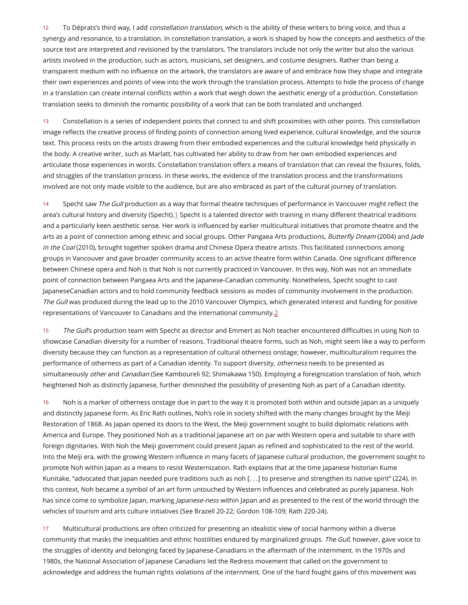12 To Déprats's third way, I add *constellation translation*, which is the ability of these writers to bring voice, and thus a synergy and resonance, to a translation. In constellation translation, a work is shaped by how the concepts and aesthetics of the source text are interpreted and revisioned by the translators. The translators include not only the writer but also the various artists involved in the production, such as actors, musicians, set designers, and costume designers. Rather than being a transparent medium with no influence on the artwork, the translators are aware of and embrace how they shape and integrate their own experiences and points of view into the work through the translation process. Attempts to hide the process of change in a translation can create internal conflicts within a work that weigh down the aesthetic energy of a production. Constellation translation seeks to diminish the romantic possibility of a work that can be both translated and unchanged.

13 Constellation is a series of independent points that connect to and shift proximities with other points. This constellation image reflects the creative process of finding points of connection among lived experience, cultural knowledge, and the source text. This process rests on the artists drawing from their embodied experiences and the cultural knowledge held physically in the body. A creative writer, such as Marlatt, has cultivated her ability to draw from her own embodied experiences and articulate those experiences in words. Constellation translation offers a means of translation that can reveal the fissures, folds, and struggles of the translation process. In these works, the evidence of the translation process and the transformations involved are not only made visible to the audience, but are also embraced as part of the cultural journey of translation.

<span id="page-4-0"></span>14 Specht saw The Gull production as a way that formal theatre techniques of performance in Vancouver might reflect the area's cultural history and diversity (Specht).[1](#page-10-0) Specht is a talented director with training in many different theatrical traditions and a particularly keen aesthetic sense. Her work is influenced by earlier multicultural initiatives that promote theatre and the arts as a point of connection among ethnic and social groups. Other Pangaea Arts productions, Butterfly Dream (2004) and Jade in the Coal (2010), brought together spoken drama and Chinese Opera theatre artists. This facilitated connections among groups in Vancouver and gave broader community access to an active theatre form within Canada. One significant difference between Chinese opera and Noh is that Noh is not currently practiced in Vancouver. In this way, Noh was not an immediate point of connection between Pangaea Arts and the Japanese-Canadian community. Nonetheless, Specht sought to cast JapaneseCanadian actors and to hold community feedback sessions as modes of community involvement in the production. The Gull was produced during the lead up to the 2010 Vancouver Olympics, which generated interest and funding for positive representations of Vancouver to Canadians and the international community[.2](#page-10-1)

<span id="page-4-1"></span>15 The Gull's production team with Specht as director and Emmert as Noh teacher encountered difficulties in using Noh to showcase Canadian diversity for a number of reasons. Traditional theatre forms, such as Noh, might seem like a way to perform diversity because they can function as a representation of cultural otherness onstage; however, multiculturalism requires the performance of otherness as part of a Canadian identity. To support diversity, otherness needs to be presented as simultaneously other and Canadian (See Kamboureli 92; Shimakawa 150). Employing a foreignization translation of Noh, which heightened Noh as distinctly Japanese, further diminished the possibility of presenting Noh as part of a Canadian identity.

16 Noh is a marker of otherness onstage due in part to the way it is promoted both within and outside Japan as a uniquely and distinctly Japanese form. As Eric Rath outlines, Noh's role in society shifted with the many changes brought by the Meiji Restoration of 1868. As Japan opened its doors to the West, the Meiji government sought to build diplomatic relations with America and Europe. They positioned Noh as a traditional Japanese art on par with Western opera and suitable to share with foreign dignitaries. With Noh the Meiji government could present Japan as reñned and sophisticated to the rest of the world. Into the Meiji era, with the growing Western influence in many facets of Japanese cultural production, the government sought to promote Noh within Japan as a means to resist Westernization. Rath explains that at the time Japanese historian Kume Kunitake, "advocated that Japan needed pure traditions such as noh [. . .] to preserve and strengthen its native spirit" (224). In this context, Noh became a symbol of an art form untouched by Western influences and celebrated as purely Japanese. Noh has since come to symbolize Japan, marking Japanese-ness within Japan and as presented to the rest of the world through the vehicles of tourism and arts culture initiatives (See Brazell 20-22; Gordon 108-109; Rath 220-24).

17 Multicultural productions are often criticized for presenting an idealistic view of social harmony within a diverse community that masks the inequalities and ethnic hostilities endured by marginalized groups. The Gull, however, gave voice to the struggles of identity and belonging faced by Japanese-Canadians in the aftermath of the internment. In the 1970s and 1980s, the National Association of Japanese Canadians led the Redress movement that called on the government to acknowledge and address the human rights violations of the internment. One of the hard fought gains of this movement was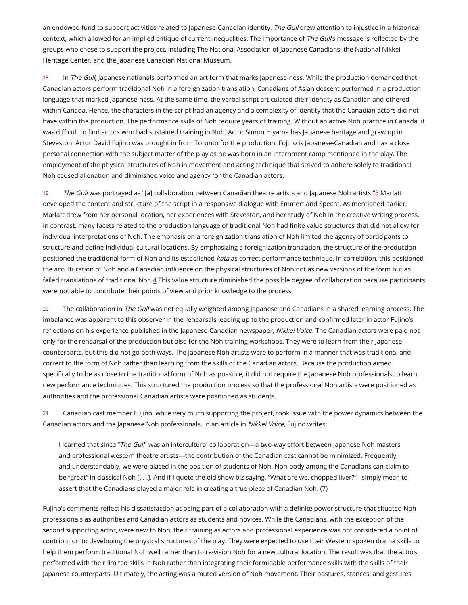an endowed fund to support activities related to Japanese-Canadian identity. The Gull drew attention to injustice in a historical context, which allowed for an implied critique of current inequalities. The importance of The Gull's message is reflected by the groups who chose to support the project, including The National Association of Japanese Canadians, the National Nikkei Heritage Center, and the Japanese Canadian National Museum.

18 In The Gull, Japanese nationals performed an art form that marks Japanese-ness. While the production demanded that Canadian actors perform traditional Noh in a foreignization translation, Canadians of Asian descent performed in a production language that marked Japanese-ness. At the same time, the verbal script articulated their identity as Canadian and othered within Canada. Hence, the characters in the script had an agency and a complexity of identity that the Canadian actors did not have within the production. The performance skills of Noh require years of training. Without an active Noh practice in Canada, it was difficult to find actors who had sustained training in Noh. Actor Simon Hiyama has Japanese heritage and grew up in Steveston. Actor David Fujino was brought in from Toronto for the production. Fujino is Japanese-Canadian and has a close personal connection with the subject matter of the play as he was born in an internment camp mentioned in the play. The employment of the physical structures of Noh in movement and acting technique that strived to adhere solely to traditional Noh caused alienation and diminished voice and agency for the Canadian actors.

<span id="page-5-0"></span>19 The Gull was portrayed as "[a] collaboration between Canadian theatre artists and Japanese Noh artists."[3](#page-10-2) Marlatt developed the content and structure of the script in a responsive dialogue with Emmert and Specht. As mentioned earlier, Marlatt drew from her personal location, her experiences with Steveston, and her study of Noh in the creative writing process. In contrast, many facets related to the production language of traditional Noh had ñnite value structures that did not allow for individual interpretations of Noh. The emphasis on a foreignization translation of Noh limited the agency of participants to structure and deñne individual cultural locations. By emphasizing a foreignization translation, the structure of the production positioned the traditional form of Noh and its established kata as correct performance technique. In correlation, this positioned the acculturation of Noh and a Canadian influence on the physical structures of Noh not as new versions of the form but as failed translations of traditional Noh[.4](#page-10-3) This value structure diminished the possible degree of collaboration because participants were not able to contribute their points of view and prior knowledge to the process.

<span id="page-5-1"></span>20 The collaboration in The Gull was not equally weighted among Japanese and Canadians in a shared learning process. The imbalance was apparent to this observer in the rehearsals leading up to the production and confirmed later in actor Fujino's reflections on his experience published in the Japanese-Canadian newspaper, Nikkei Voice. The Canadian actors were paid not only for the rehearsal of the production but also for the Noh training workshops. They were to learn from their Japanese counterparts, but this did not go both ways. The Japanese Noh artists were to perform in a manner that was traditional and correct to the form of Noh rather than learning from the skills of the Canadian actors. Because the production aimed speciñcally to be as close to the traditional form of Noh as possible, it did not require the Japanese Noh professionals to learn new performance techniques. This structured the production process so that the professional Noh artists were positioned as authorities and the professional Canadian artists were positioned as students.

21 Canadian cast member Fujino, while very much supporting the project, took issue with the power dynamics between the Canadian actors and the Japanese Noh professionals. In an article in Nikkei Voice, Fujino writes:

I learned that since "The Gull" was an intercultural collaboration—a two-way effort between Japanese Noh masters and professional western theatre artists—the contribution of the Canadian cast cannot be minimized. Frequently, and understandably, we were placed in the position of students of Noh. Noh-body among the Canadians can claim to be "great" in classical Noh [. . .]. And if I quote the old show biz saying, "What are we, chopped liver?" I simply mean to assert that the Canadians played a major role in creating a true piece of Canadian Noh. (7)

Fujino's comments reflect his dissatisfaction at being part of a collaboration with a definite power structure that situated Noh professionals as authorities and Canadian actors as students and novices. While the Canadians, with the exception of the second supporting actor, were new to Noh, their training as actors and professional experience was not considered a point of contribution to developing the physical structures of the play. They were expected to use their Western spoken drama skills to help them perform traditional Noh well rather than to re-vision Noh for a new cultural location. The result was that the actors performed with their limited skills in Noh rather than integrating their formidable performance skills with the skills of their Japanese counterparts. Ultimately, the acting was a muted version of Noh movement. Their postures, stances, and gestures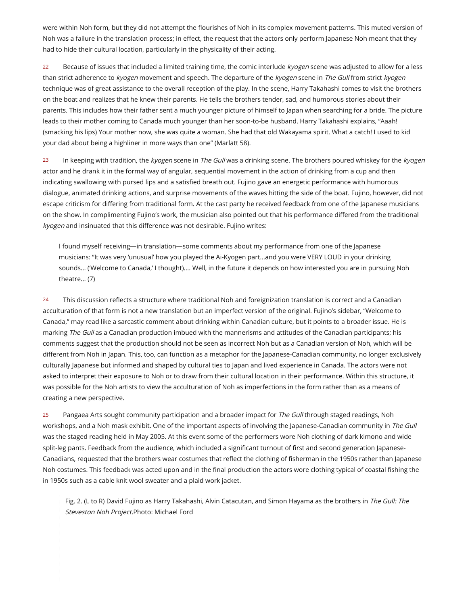were within Noh form, but they did not attempt the flourishes of Noh in its complex movement patterns. This muted version of Noh was a failure in the translation process; in effect, the request that the actors only perform Japanese Noh meant that they had to hide their cultural location, particularly in the physicality of their acting.

22 Because of issues that included a limited training time, the comic interlude kyogen scene was adjusted to allow for a less than strict adherence to kyogen movement and speech. The departure of the kyogen scene in The Gull from strict kyogen technique was of great assistance to the overall reception of the play. In the scene, Harry Takahashi comes to visit the brothers on the boat and realizes that he knew their parents. He tells the brothers tender, sad, and humorous stories about their parents. This includes how their father sent a much younger picture of himself to Japan when searching for a bride. The picture leads to their mother coming to Canada much younger than her soon-to-be husband. Harry Takahashi explains, "Aaah! (smacking his lips) Your mother now, she was quite a woman. She had that old Wakayama spirit. What a catch! I used to kid your dad about being a highliner in more ways than one" (Marlatt 58).

23 In keeping with tradition, the kyogen scene in The Gull was a drinking scene. The brothers poured whiskey for the kyogen actor and he drank it in the formal way of angular, sequential movement in the action of drinking from a cup and then indicating swallowing with pursed lips and a satisñed breath out. Fujino gave an energetic performance with humorous dialogue, animated drinking actions, and surprise movements of the waves hitting the side of the boat. Fujino, however, did not escape criticism for differing from traditional form. At the cast party he received feedback from one of the Japanese musicians on the show. In complimenting Fujino's work, the musician also pointed out that his performance differed from the traditional kyogen and insinuated that this difference was not desirable. Fujino writes:

I found myself receiving—in translation—some comments about my performance from one of the Japanese musicians: "It was very 'unusual' how you played the Ai-Kyogen part...and you were VERY LOUD in your drinking sounds... ('Welcome to Canada,' I thought).... Well, in the future it depends on how interested you are in pursuing Noh theatre... (7)

24 This discussion reflects a structure where traditional Noh and foreignization translation is correct and a Canadian acculturation of that form is not a new translation but an imperfect version of the original. Fujino's sidebar, "Welcome to Canada," may read like a sarcastic comment about drinking within Canadian culture, but it points to a broader issue. He is marking The Gull as a Canadian production imbued with the mannerisms and attitudes of the Canadian participants; his comments suggest that the production should not be seen as incorrect Noh but as a Canadian version of Noh, which will be different from Noh in Japan. This, too, can function as a metaphor for the Japanese-Canadian community, no longer exclusively culturally Japanese but informed and shaped by cultural ties to Japan and lived experience in Canada. The actors were not asked to interpret their exposure to Noh or to draw from their cultural location in their performance. Within this structure, it was possible for the Noh artists to view the acculturation of Noh as imperfections in the form rather than as a means of creating a new perspective.

25 Pangaea Arts sought community participation and a broader impact for The Gull through staged readings, Noh workshops, and a Noh mask exhibit. One of the important aspects of involving the Japanese-Canadian community in The Gull was the staged reading held in May 2005. At this event some of the performers wore Noh clothing of dark kimono and wide split-leg pants. Feedback from the audience, which included a significant turnout of first and second generation Japanese-Canadians, requested that the brothers wear costumes that reflect the clothing of fisherman in the 1950s rather than Japanese Noh costumes. This feedback was acted upon and in the ñnal production the actors wore clothing typical of coastal ñshing the in 1950s such as a cable knit wool sweater and a plaid work jacket.

Fig. 2. (L to R) David Fujino as Harry Takahashi, Alvin Catacutan, and Simon Hayama as the brothers in The Gull: The Steveston Noh Project.Photo: Michael Ford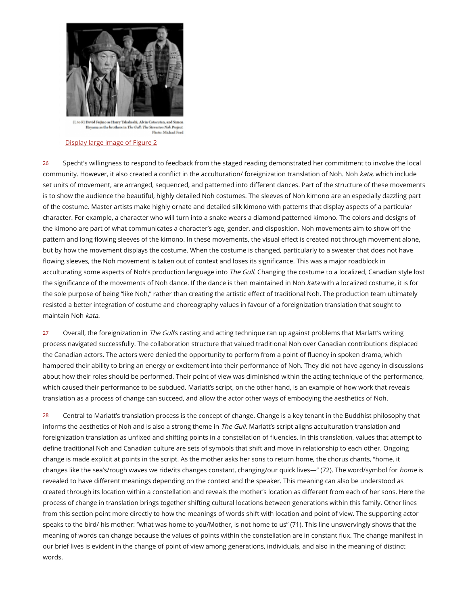

Hayama as the brothers in The Gull: The Steveston Nok Project Photo: Michael Ford

#### [Display](http://journals.hil.unb.ca/journalimages/TRIC/2013/Vol_34/No_01/tric34_1art03_fig2.jpg) large image of Figure 2

26 Specht's willingness to respond to feedback from the staged reading demonstrated her commitment to involve the local community. However, it also created a conflict in the acculturation/ foreignization translation of Noh. Noh kata, which include set units of movement, are arranged, sequenced, and patterned into different dances. Part of the structure of these movements is to show the audience the beautiful, highly detailed Noh costumes. The sleeves of Noh kimono are an especially dazzling part of the costume. Master artists make highly ornate and detailed silk kimono with patterns that display aspects of a particular character. For example, a character who will turn into a snake wears a diamond patterned kimono. The colors and designs of the kimono are part of what communicates a character's age, gender, and disposition. Noh movements aim to show off the pattern and long flowing sleeves of the kimono. In these movements, the visual effect is created not through movement alone, but by how the movement displays the costume. When the costume is changed, particularly to a sweater that does not have flowing sleeves, the Noh movement is taken out of context and loses its significance. This was a major roadblock in acculturating some aspects of Noh's production language into The Gull. Changing the costume to a localized, Canadian style lost the significance of the movements of Noh dance. If the dance is then maintained in Noh kata with a localized costume, it is for the sole purpose of being "like Noh," rather than creating the artistic effect of traditional Noh. The production team ultimately resisted a better integration of costume and choreography values in favour of a foreignization translation that sought to maintain Noh kata.

27 Overall, the foreignization in The Gull's casting and acting technique ran up against problems that Marlatt's writing process navigated successfully. The collaboration structure that valued traditional Noh over Canadian contributions displaced the Canadian actors. The actors were denied the opportunity to perform from a point of fluency in spoken drama, which hampered their ability to bring an energy or excitement into their performance of Noh. They did not have agency in discussions about how their roles should be performed. Their point of view was diminished within the acting technique of the performance, which caused their performance to be subdued. Marlatt's script, on the other hand, is an example of how work that reveals translation as a process of change can succeed, and allow the actor other ways of embodying the aesthetics of Noh.

28 Central to Marlatt's translation process is the concept of change. Change is a key tenant in the Buddhist philosophy that informs the aesthetics of Noh and is also a strong theme in The Gull. Marlatt's script aligns acculturation translation and foreignization translation as unfixed and shifting points in a constellation of fluencies. In this translation, values that attempt to deñne traditional Noh and Canadian culture are sets of symbols that shift and move in relationship to each other. Ongoing change is made explicit at points in the script. As the mother asks her sons to return home, the chorus chants, "home, it changes like the sea's/rough waves we ride/its changes constant, changing/our quick lives—" (72). The word/symbol for home is revealed to have different meanings depending on the context and the speaker. This meaning can also be understood as created through its location within a constellation and reveals the mother's location as different from each of her sons. Here the process of change in translation brings together shifting cultural locations between generations within this family. Other lines from this section point more directly to how the meanings of words shift with location and point of view. The supporting actor speaks to the bird/ his mother: "what was home to you/Mother, is not home to us" (71). This line unswervingly shows that the meaning of words can change because the values of points within the constellation are in constant flux. The change manifest in our brief lives is evident in the change of point of view among generations, individuals, and also in the meaning of distinct words.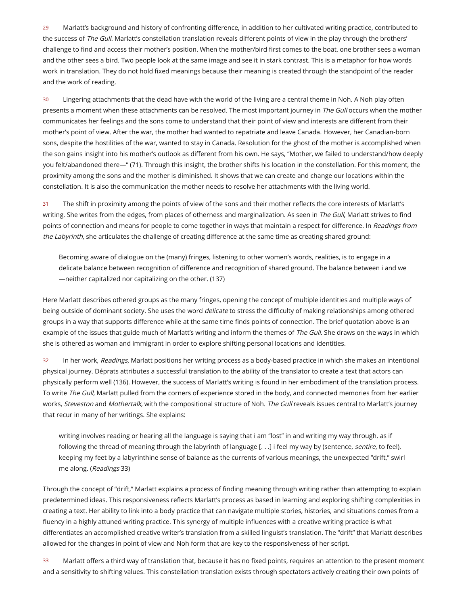29 Marlatt's background and history of confronting difference, in addition to her cultivated writing practice, contributed to the success of The Gull. Marlatt's constellation translation reveals different points of view in the play through the brothers' challenge to ñnd and access their mother's position. When the mother/bird ñrst comes to the boat, one brother sees a woman and the other sees a bird. Two people look at the same image and see it in stark contrast. This is a metaphor for how words work in translation. They do not hold ñxed meanings because their meaning is created through the standpoint of the reader and the work of reading.

30 Lingering attachments that the dead have with the world of the living are a central theme in Noh. A Noh play often presents a moment when these attachments can be resolved. The most important journey in The Gull occurs when the mother communicates her feelings and the sons come to understand that their point of view and interests are different from their mother's point of view. After the war, the mother had wanted to repatriate and leave Canada. However, her Canadian-born sons, despite the hostilities of the war, wanted to stay in Canada. Resolution for the ghost of the mother is accomplished when the son gains insight into his mother's outlook as different from his own. He says, "Mother, we failed to understand/how deeply you felt/abandoned there—" (71). Through this insight, the brother shifts his location in the constellation. For this moment, the proximity among the sons and the mother is diminished. It shows that we can create and change our locations within the constellation. It is also the communication the mother needs to resolve her attachments with the living world.

31 The shift in proximity among the points of view of the sons and their mother reflects the core interests of Marlatt's writing. She writes from the edges, from places of otherness and marginalization. As seen in The Gull, Marlatt strives to find points of connection and means for people to come together in ways that maintain a respect for difference. In Readings from the Labyrinth, she articulates the challenge of creating difference at the same time as creating shared ground:

Becoming aware of dialogue on the (many) fringes, listening to other women's words, realities, is to engage in a delicate balance between recognition of difference and recognition of shared ground. The balance between i and we —neither capitalized nor capitalizing on the other. (137)

Here Marlatt describes othered groups as the many fringes, opening the concept of multiple identities and multiple ways of being outside of dominant society. She uses the word *delicate* to stress the difficulty of making relationships among othered groups in a way that supports difference while at the same time finds points of connection. The brief quotation above is an example of the issues that guide much of Marlatt's writing and inform the themes of The Gull. She draws on the ways in which she is othered as woman and immigrant in order to explore shifting personal locations and identities.

32 In her work, Readings, Marlatt positions her writing process as a body-based practice in which she makes an intentional physical journey. Déprats attributes a successful translation to the ability of the translator to create a text that actors can physically perform well (136). However, the success of Marlatt's writing is found in her embodiment of the translation process. To write The Gull, Marlatt pulled from the corners of experience stored in the body, and connected memories from her earlier works, Steveston and Mothertalk, with the compositional structure of Noh. The Gull reveals issues central to Marlatt's journey that recur in many of her writings. She explains:

writing involves reading or hearing all the language is saying that i am "lost" in and writing my way through. as if following the thread of meaning through the labyrinth of language [. . .] i feel my way by (sentence, sentire, to feel), keeping my feet by a labyrinthine sense of balance as the currents of various meanings, the unexpected "drift," swirl me along. (Readings 33)

Through the concept of "drift," Marlatt explains a process of ñnding meaning through writing rather than attempting to explain predetermined ideas. This responsiveness reflects Marlatt's process as based in learning and exploring shifting complexities in creating a text. Her ability to link into a body practice that can navigate multiple stories, histories, and situations comes from a fluency in a highly attuned writing practice. This synergy of multiple influences with a creative writing practice is what diöerentiates an accomplished creative writer's translation from a skilled linguist's translation. The "drift" that Marlatt describes allowed for the changes in point of view and Noh form that are key to the responsiveness of her script.

33 Marlatt offers a third way of translation that, because it has no fixed points, requires an attention to the present moment and a sensitivity to shifting values. This constellation translation exists through spectators actively creating their own points of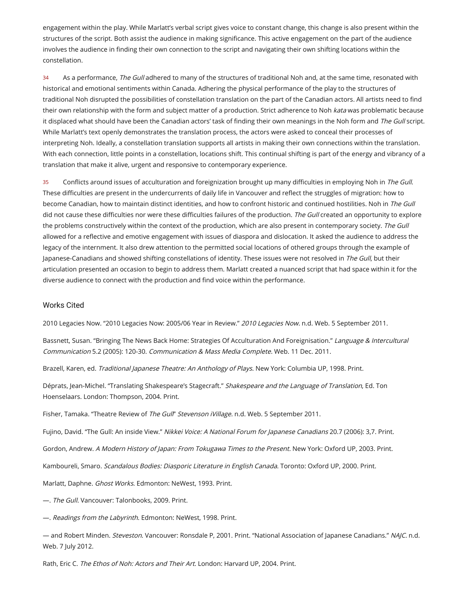engagement within the play. While Marlatt's verbal script gives voice to constant change, this change is also present within the structures of the script. Both assist the audience in making signiñcance. This active engagement on the part of the audience involves the audience in ñnding their own connection to the script and navigating their own shifting locations within the constellation.

34 As a performance, The Gull adhered to many of the structures of traditional Noh and, at the same time, resonated with historical and emotional sentiments within Canada. Adhering the physical performance of the play to the structures of traditional Noh disrupted the possibilities of constellation translation on the part of the Canadian actors. All artists need to ñnd their own relationship with the form and subject matter of a production. Strict adherence to Noh kata was problematic because it displaced what should have been the Canadian actors' task of finding their own meanings in the Noh form and The Gull script. While Marlatt's text openly demonstrates the translation process, the actors were asked to conceal their processes of interpreting Noh. Ideally, a constellation translation supports all artists in making their own connections within the translation. With each connection, little points in a constellation, locations shift. This continual shifting is part of the energy and vibrancy of a translation that make it alive, urgent and responsive to contemporary experience.

35 Conflicts around issues of acculturation and foreignization brought up many difficulties in employing Noh in The Gull. These difficulties are present in the undercurrents of daily life in Vancouver and reflect the struggles of migration: how to become Canadian, how to maintain distinct identities, and how to confront historic and continued hostilities. Noh in The Gull did not cause these difficulties nor were these difficulties failures of the production. The Gull created an opportunity to explore the problems constructively within the context of the production, which are also present in contemporary society. The Gull allowed for a reflective and emotive engagement with issues of diaspora and dislocation. It asked the audience to address the legacy of the internment. It also drew attention to the permitted social locations of othered groups through the example of Japanese-Canadians and showed shifting constellations of identity. These issues were not resolved in The Gull, but their articulation presented an occasion to begin to address them. Marlatt created a nuanced script that had space within it for the diverse audience to connect with the production and ñnd voice within the performance.

#### Works Cited

2010 Legacies Now. "2010 Legacies Now: 2005/06 Year in Review." 2010 Legacies Now. n.d. Web. 5 September 2011.

Bassnett, Susan. "Bringing The News Back Home: Strategies Of Acculturation And Foreignisation." Language & Intercultural Communication 5.2 (2005): 120-30. Communication & Mass Media Complete. Web. 11 Dec. 2011.

Brazell, Karen, ed. Traditional Japanese Theatre: An Anthology of Plays. New York: Columbia UP, 1998. Print.

Déprats, Jean-Michel. "Translating Shakespeare's Stagecraft." Shakespeare and the Language of Translation, Ed. Ton Hoenselaars. London: Thompson, 2004. Print.

Fisher, Tamaka. "Theatre Review of The Gull' Stevenson iVillage. n.d. Web. 5 September 2011.

Fujino, David. "The Gull: An inside View." Nikkei Voice: A National Forum for Japanese Canadians 20.7 (2006): 3,7. Print.

Gordon, Andrew. A Modern History of Japan: From Tokugawa Times to the Present. New York: Oxford UP, 2003. Print.

Kamboureli, Smaro. Scandalous Bodies: Diasporic Literature in English Canada. Toronto: Oxford UP, 2000. Print.

Marlatt, Daphne. Ghost Works. Edmonton: NeWest, 1993. Print.

—. The Gull. Vancouver: Talonbooks, 2009. Print.

—. Readings from the Labyrinth. Edmonton: NeWest, 1998. Print.

— and Robert Minden. Steveston. Vancouver: Ronsdale P, 2001. Print. "National Association of Japanese Canadians." NAJC. n.d. Web. 7 July 2012.

Rath, Eric C. The Ethos of Noh: Actors and Their Art. London: Harvard UP, 2004. Print.